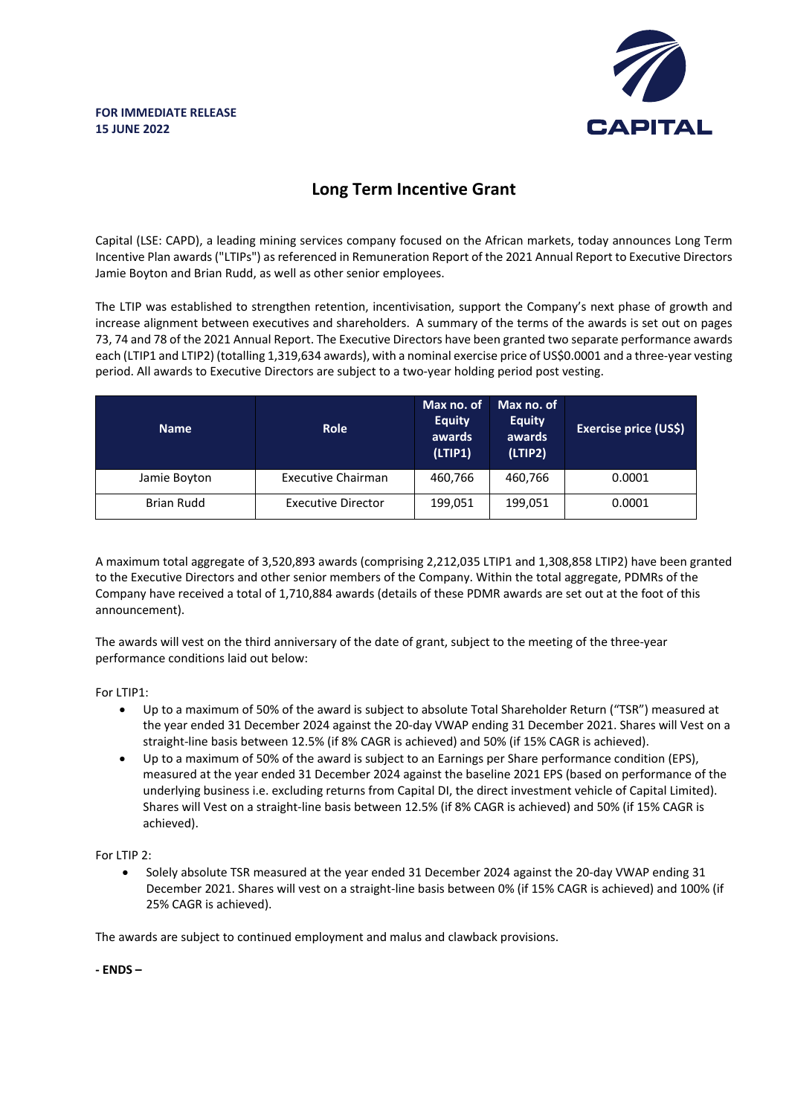

## **Long Term Incentive Grant**

Capital (LSE: CAPD), a leading mining services company focused on the African markets, today announces Long Term Incentive Plan awards ("LTIPs") as referenced in Remuneration Report of the 2021 Annual Report to Executive Directors Jamie Boyton and Brian Rudd, as well as other senior employees.

The LTIP was established to strengthen retention, incentivisation, support the Company's next phase of growth and increase alignment between executives and shareholders. A summary of the terms of the awards is set out on pages 73, 74 and 78 of the 2021 Annual Report. The Executive Directors have been granted two separate performance awards each (LTIP1 and LTIP2) (totalling 1,319,634 awards), with a nominal exercise price of US\$0.0001 and a three-year vesting period. All awards to Executive Directors are subject to a two-year holding period post vesting.

| <b>Name</b>       | <b>Role</b>               | Max no. of<br><b>Equity</b><br>awards<br>(LTIP1) | Max no. of<br><b>Equity</b><br>awards<br>(LTIP2) | <b>Exercise price (US\$)</b> |
|-------------------|---------------------------|--------------------------------------------------|--------------------------------------------------|------------------------------|
| Jamie Boyton      | <b>Executive Chairman</b> | 460,766                                          | 460.766                                          | 0.0001                       |
| <b>Brian Rudd</b> | <b>Executive Director</b> | 199,051                                          | 199,051                                          | 0.0001                       |

A maximum total aggregate of 3,520,893 awards (comprising 2,212,035 LTIP1 and 1,308,858 LTIP2) have been granted to the Executive Directors and other senior members of the Company. Within the total aggregate, PDMRs of the Company have received a total of 1,710,884 awards (details of these PDMR awards are set out at the foot of this announcement).

The awards will vest on the third anniversary of the date of grant, subject to the meeting of the three-year performance conditions laid out below:

For LTIP1:

- Up to a maximum of 50% of the award is subject to absolute Total Shareholder Return ("TSR") measured at the year ended 31 December 2024 against the 20-day VWAP ending 31 December 2021. Shares will Vest on a straight-line basis between 12.5% (if 8% CAGR is achieved) and 50% (if 15% CAGR is achieved).
- Up to a maximum of 50% of the award is subject to an Earnings per Share performance condition (EPS), measured at the year ended 31 December 2024 against the baseline 2021 EPS (based on performance of the underlying business i.e. excluding returns from Capital DI, the direct investment vehicle of Capital Limited). Shares will Vest on a straight-line basis between 12.5% (if 8% CAGR is achieved) and 50% (if 15% CAGR is achieved).

For LTIP 2:

• Solely absolute TSR measured at the year ended 31 December 2024 against the 20-day VWAP ending 31 December 2021. Shares will vest on a straight-line basis between 0% (if 15% CAGR is achieved) and 100% (if 25% CAGR is achieved).

The awards are subject to continued employment and malus and clawback provisions.

**- ENDS –**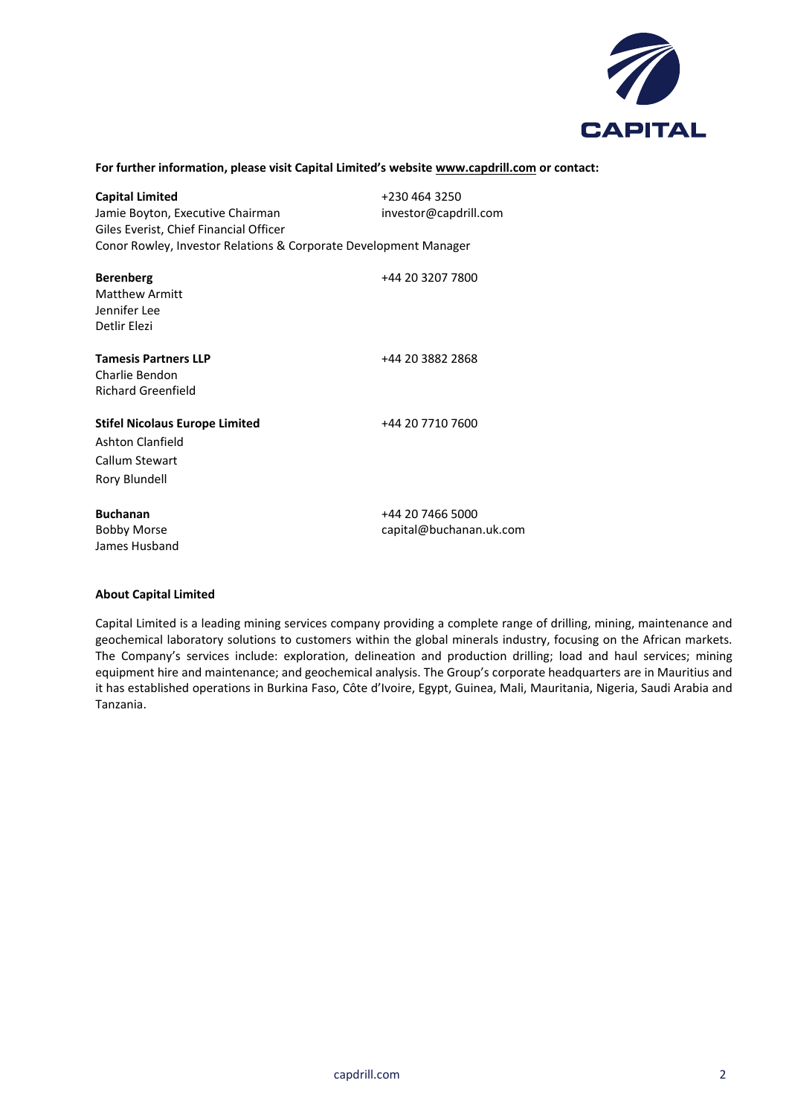

## **For further information, please visit Capital Limited's website www.capdrill.com or contact:**

| <b>Capital Limited</b>                                           | +230 464 3250           |
|------------------------------------------------------------------|-------------------------|
| Jamie Boyton, Executive Chairman                                 | investor@capdrill.com   |
| Giles Everist, Chief Financial Officer                           |                         |
| Conor Rowley, Investor Relations & Corporate Development Manager |                         |
| <b>Berenberg</b>                                                 | +44 20 3207 7800        |
| <b>Matthew Armitt</b>                                            |                         |
| Jennifer Lee                                                     |                         |
| Detlir Elezi                                                     |                         |
| <b>Tamesis Partners LLP</b>                                      | +44 20 3882 2868        |
| Charlie Bendon                                                   |                         |
| Richard Greenfield                                               |                         |
| <b>Stifel Nicolaus Europe Limited</b>                            | +44 20 7710 7600        |
| Ashton Clanfield                                                 |                         |
| Callum Stewart                                                   |                         |
| Rory Blundell                                                    |                         |
| <b>Buchanan</b>                                                  | +44 20 7466 5000        |
| <b>Bobby Morse</b>                                               | capital@buchanan.uk.com |
| James Husband                                                    |                         |

## **About Capital Limited**

Capital Limited is a leading mining services company providing a complete range of drilling, mining, maintenance and geochemical laboratory solutions to customers within the global minerals industry, focusing on the African markets. The Company's services include: exploration, delineation and production drilling; load and haul services; mining equipment hire and maintenance; and geochemical analysis. The Group's corporate headquarters are in Mauritius and it has established operations in Burkina Faso, Côte d'Ivoire, Egypt, Guinea, Mali, Mauritania, Nigeria, Saudi Arabia and Tanzania.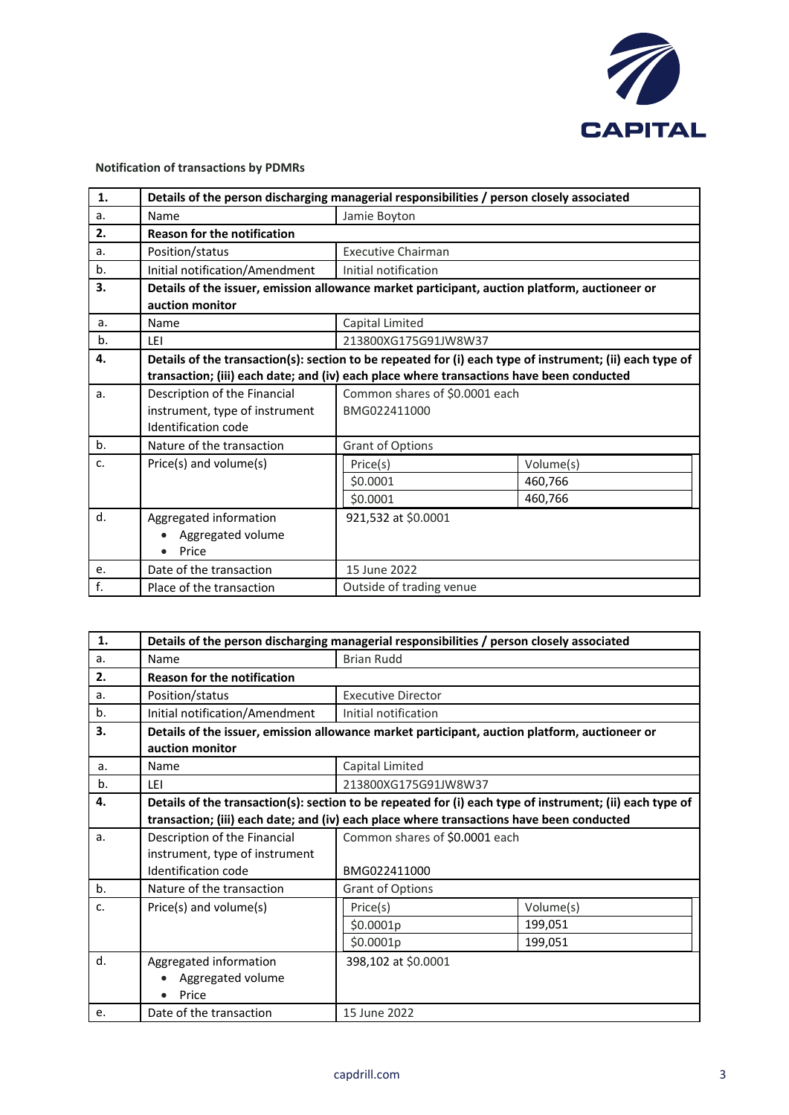

## **Notification of transactions by PDMRs**

| 1. | Details of the person discharging managerial responsibilities / person closely associated                        |                                                                                          |           |  |
|----|------------------------------------------------------------------------------------------------------------------|------------------------------------------------------------------------------------------|-----------|--|
| a. | Name                                                                                                             | Jamie Boyton                                                                             |           |  |
| 2. | <b>Reason for the notification</b>                                                                               |                                                                                          |           |  |
| a. | Position/status                                                                                                  | <b>Executive Chairman</b>                                                                |           |  |
| b. | Initial notification/Amendment                                                                                   | Initial notification                                                                     |           |  |
| 3. | Details of the issuer, emission allowance market participant, auction platform, auctioneer or<br>auction monitor |                                                                                          |           |  |
| a. | Name                                                                                                             | Capital Limited                                                                          |           |  |
| b. | LEI                                                                                                              | 213800XG175G91JW8W37                                                                     |           |  |
| 4. | Details of the transaction(s): section to be repeated for (i) each type of instrument; (ii) each type of         |                                                                                          |           |  |
|    |                                                                                                                  | transaction; (iii) each date; and (iv) each place where transactions have been conducted |           |  |
| a. | Description of the Financial                                                                                     | Common shares of \$0.0001 each                                                           |           |  |
|    | instrument, type of instrument                                                                                   | BMG022411000                                                                             |           |  |
|    | Identification code                                                                                              |                                                                                          |           |  |
| b. | Nature of the transaction                                                                                        | <b>Grant of Options</b>                                                                  |           |  |
| c. | Price(s) and volume(s)                                                                                           | Price(s)                                                                                 | Volume(s) |  |
|    |                                                                                                                  | \$0.0001                                                                                 | 460,766   |  |
|    |                                                                                                                  | \$0.0001                                                                                 | 460,766   |  |
| d. | Aggregated information                                                                                           | 921,532 at \$0.0001                                                                      |           |  |
|    | Aggregated volume                                                                                                |                                                                                          |           |  |
|    | Price                                                                                                            |                                                                                          |           |  |
| e. | Date of the transaction                                                                                          | 15 June 2022                                                                             |           |  |
| f. | Place of the transaction                                                                                         | Outside of trading venue                                                                 |           |  |

| 1.             | Details of the person discharging managerial responsibilities / person closely associated                        |                                                                                          |           |  |  |
|----------------|------------------------------------------------------------------------------------------------------------------|------------------------------------------------------------------------------------------|-----------|--|--|
| a <sub>r</sub> | Name                                                                                                             | <b>Brian Rudd</b>                                                                        |           |  |  |
| 2.             | <b>Reason for the notification</b>                                                                               |                                                                                          |           |  |  |
| a.             | Position/status                                                                                                  | <b>Executive Director</b>                                                                |           |  |  |
| b.             | Initial notification/Amendment                                                                                   | Initial notification                                                                     |           |  |  |
| 3.             | Details of the issuer, emission allowance market participant, auction platform, auctioneer or<br>auction monitor |                                                                                          |           |  |  |
| a.             | Name                                                                                                             | Capital Limited                                                                          |           |  |  |
| b.             | LEI                                                                                                              | 213800XG175G91JW8W37                                                                     |           |  |  |
| 4.             | Details of the transaction(s): section to be repeated for (i) each type of instrument; (ii) each type of         |                                                                                          |           |  |  |
|                |                                                                                                                  | transaction; (iii) each date; and (iv) each place where transactions have been conducted |           |  |  |
| a <sub>r</sub> | Description of the Financial                                                                                     | Common shares of \$0.0001 each                                                           |           |  |  |
|                | instrument, type of instrument                                                                                   |                                                                                          |           |  |  |
|                | Identification code                                                                                              | BMG022411000                                                                             |           |  |  |
| b.             | Nature of the transaction                                                                                        | Grant of Options                                                                         |           |  |  |
| c.             | Price(s) and volume(s)                                                                                           | Price(s)                                                                                 | Volume(s) |  |  |
|                |                                                                                                                  | \$0.0001p                                                                                | 199,051   |  |  |
|                |                                                                                                                  | \$0.0001p                                                                                | 199,051   |  |  |
| d.             | Aggregated information                                                                                           | 398,102 at \$0.0001                                                                      |           |  |  |
|                | Aggregated volume                                                                                                |                                                                                          |           |  |  |
|                | Price                                                                                                            |                                                                                          |           |  |  |
| e.             | Date of the transaction                                                                                          | 15 June 2022                                                                             |           |  |  |